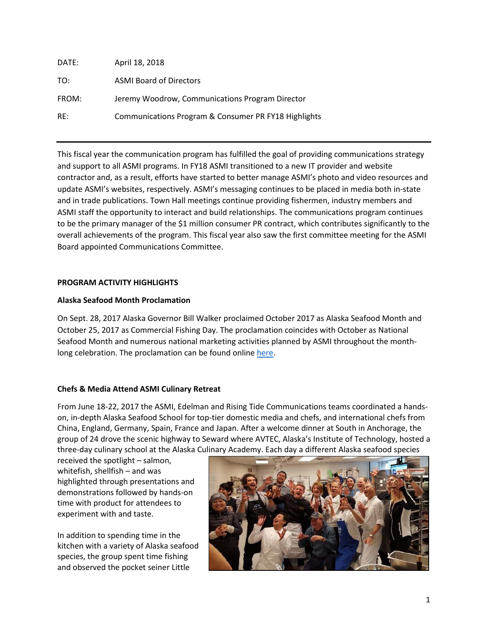| DATE: | April 18, 2018                                       |
|-------|------------------------------------------------------|
| TO:   | <b>ASMI Board of Directors</b>                       |
| FROM: | Jeremy Woodrow, Communications Program Director      |
| RF:   | Communications Program & Consumer PR FY18 Highlights |

This fiscal year the communication program has fulfilled the goal of providing communications strategy and support to all ASMI programs. In FY18 ASMI transitioned to a new IT provider and website contractor and, as a result, efforts have started to better manage ASMI's photo and video resources and update ASMI's websites, respectively. ASMI's messaging continues to be placed in media both in-state and in trade publications. Town Hall meetings continue providing fishermen, industry members and ASMI staff the opportunity to interact and build relationships. The communications program continues to be the primary manager of the \$1 million consumer PR contract, which contributes significantly to the overall achievements of the program. This fiscal year also saw the first committee meeting for the ASMI Board appointed Communications Committee.

# **PROGRAM ACTIVITY HIGHLIGHTS**

# **Alaska Seafood Month Proclamation**

On Sept. 28, 2017 Alaska Governor Bill Walker proclaimed October 2017 as Alaska Seafood Month and October 25, 2017 as Commercial Fishing Day. The proclamation coincides with October as National Seafood Month and numerous national marketing activities planned by ASMI throughout the monthlong celebration. The proclamation can be found online [here.](https://gov.alaska.gov/newsroom/2017/09/alaska-seafood-month-commercial-fishing-day/)

## **Chefs & Media Attend ASMI Culinary Retreat**

From June 18-22, 2017 the ASMI, Edelman and Rising Tide Communications teams coordinated a handson, in-depth Alaska Seafood School for top-tier domestic media and chefs, and international chefs from China, England, Germany, Spain, France and Japan. After a welcome dinner at South in Anchorage, the group of 24 drove the scenic highway to Seward where AVTEC, Alaska's Institute of Technology, hosted a three-day culinary school at the Alaska Culinary Academy. Each day a different Alaska seafood species

received the spotlight – salmon, whitefish, shellfish – and was highlighted through presentations and demonstrations followed by hands-on time with product for attendees to experiment with and taste.

In addition to spending time in the kitchen with a variety of Alaska seafood species, the group spent time fishing and observed the pocket seiner Little

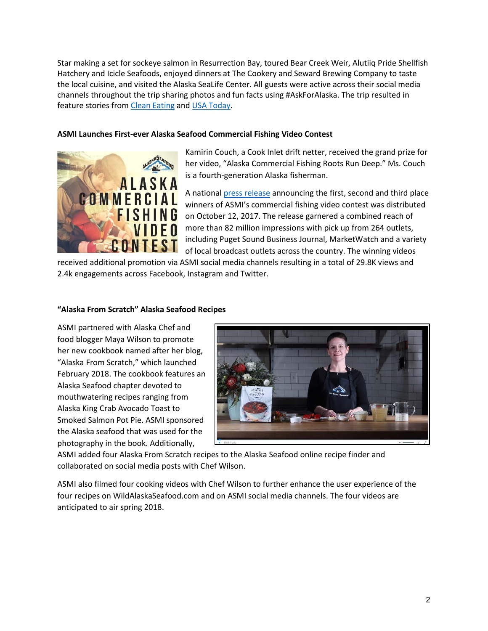Star making a set for sockeye salmon in Resurrection Bay, toured Bear Creek Weir, Alutiiq Pride Shellfish Hatchery and Icicle Seafoods, enjoyed dinners at The Cookery and Seward Brewing Company to taste the local cuisine, and visited the Alaska SeaLife Center. All guests were active across their social media channels throughout the trip sharing photos and fun facts using #AskForAlaska. The trip resulted in feature stories from [Clean Eating](https://www.cleaneatingmag.com/clean-living/sustainable-seafood-best-choices) and [USA Today.](https://www.usatoday.com/story/travel/experience/food-and-wine/2017/07/20/alaska-seafood-adventure-denali-homer/491784001/)

## **ASMI Launches First-ever Alaska Seafood Commercial Fishing Video Contest**



Kamirin Couch, a Cook Inlet drift netter, received the grand prize for her video, "Alaska Commercial Fishing Roots Run Deep." Ms. Couch is a fourth-generation Alaska fisherman.

A nationa[l press release](https://www.prnewswire.com/news-releases/alaska-seafood-marketing-institute-announces-winners-of-the-first-ever-alaska-commercial-fishing-video-contest-300535402.html) announcing the first, second and third place winners of ASMI's commercial fishing video contest was distributed on October 12, 2017. The release garnered a combined reach of more than 82 million impressions with pick up from 264 outlets, including Puget Sound Business Journal, MarketWatch and a variety of local broadcast outlets across the country. The winning videos

received additional promotion via ASMI social media channels resulting in a total of 29.8K views and 2.4k engagements across Facebook, Instagram and Twitter.

### **"Alaska From Scratch" Alaska Seafood Recipes**

ASMI partnered with Alaska Chef and food blogger Maya Wilson to promote her new cookbook named after her blog, "Alaska From Scratch," which launched February 2018. The cookbook features an Alaska Seafood chapter devoted to mouthwatering recipes ranging from Alaska King Crab Avocado Toast to Smoked Salmon Pot Pie. ASMI sponsored the Alaska seafood that was used for the photography in the book. Additionally,



ASMI added four Alaska From Scratch recipes to the Alaska Seafood online recipe finder and collaborated on social media posts with Chef Wilson.

ASMI also filmed four cooking videos with Chef Wilson to further enhance the user experience of the four recipes on WildAlaskaSeafood.com and on ASMI social media channels. The four videos are anticipated to air spring 2018.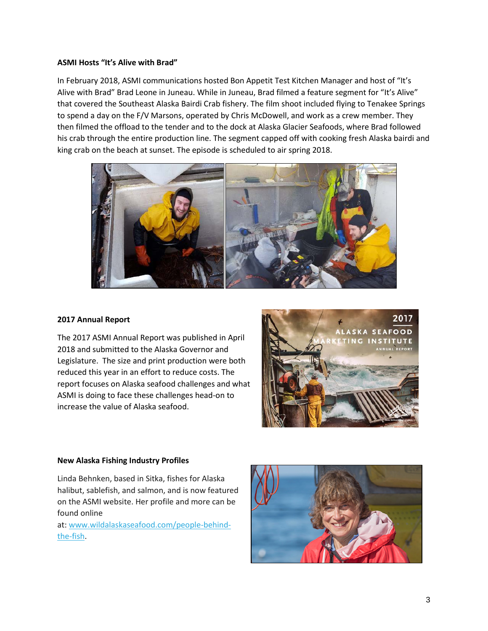### **ASMI Hosts "It's Alive with Brad"**

In February 2018, ASMI communications hosted Bon Appetit Test Kitchen Manager and host of "It's Alive with Brad" Brad Leone in Juneau. While in Juneau, Brad filmed a feature segment for "It's Alive" that covered the Southeast Alaska Bairdi Crab fishery. The film shoot included flying to Tenakee Springs to spend a day on the F/V Marsons, operated by Chris McDowell, and work as a crew member. They then filmed the offload to the tender and to the dock at Alaska Glacier Seafoods, where Brad followed his crab through the entire production line. The segment capped off with cooking fresh Alaska bairdi and king crab on the beach at sunset. The episode is scheduled to air spring 2018.



#### **2017 Annual Report**

The 2017 ASMI Annual Report was published in April 2018 and submitted to the Alaska Governor and Legislature. The size and print production were both reduced this year in an effort to reduce costs. The report focuses on Alaska seafood challenges and what ASMI is doing to face these challenges head-on to increase the value of Alaska seafood.



#### **New Alaska Fishing Industry Profiles**

Linda Behnken, based in Sitka, fishes for Alaska halibut, sablefish, and salmon, and is now featured on the ASMI website. Her profile and more can be found online

at: [www.wildalaskaseafood.com/people-behind](http://www.wildalaskaseafood.com/people-behind-the-fish)[the-fish.](http://www.wildalaskaseafood.com/people-behind-the-fish)

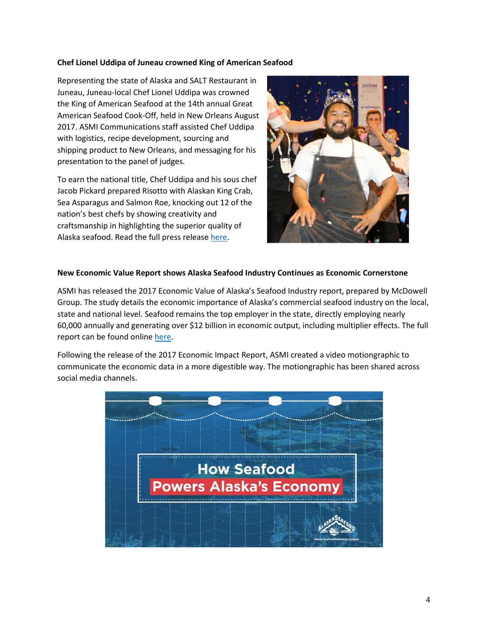#### **Chef Lionel Uddipa of Juneau crowned King of American Seafood**

Representing the state of Alaska and SALT Restaurant in Juneau, Juneau-local Chef Lionel Uddipa was crowned the King of American Seafood at the 14th annual Great American Seafood Cook-Off, held in New Orleans August 2017. ASMI Communications staff assisted Chef Uddipa with logistics, recipe development, sourcing and shipping product to New Orleans, and messaging for his presentation to the panel of judges.

To earn the national title, Chef Uddipa and his sous chef Jacob Pickard prepared Risotto with Alaskan King Crab, Sea Asparagus and Salmon Roe, knocking out 12 of the nation's best chefs by showing creativity and craftsmanship in highlighting the superior quality of Alaska seafood. Read the full press releas[e here.](https://www.alaskaseafood.org/chef-lionel-uddipa-crowned-king-american-seafood/)



### **New Economic Value Report shows Alaska Seafood Industry Continues as Economic Cornerstone**

ASMI has released the 2017 Economic Value of Alaska's Seafood Industry report, prepared by McDowell Group. The study details the economic importance of Alaska's commercial seafood industry on the local, state and national level. Seafood remains the top employer in the state, directly employing nearly 60,000 annually and generating over \$12 billion in economic output, including multiplier effects. The full report can be found online [here.](https://www.alaskaseafood.org/industry/seafood-market-info/economic-value-reports/)

Following the release of the 2017 Economic Impact Report, ASMI created a video motiongraphic to communicate the economic data in a more digestible way. The motiongraphic has been shared across social media channels.

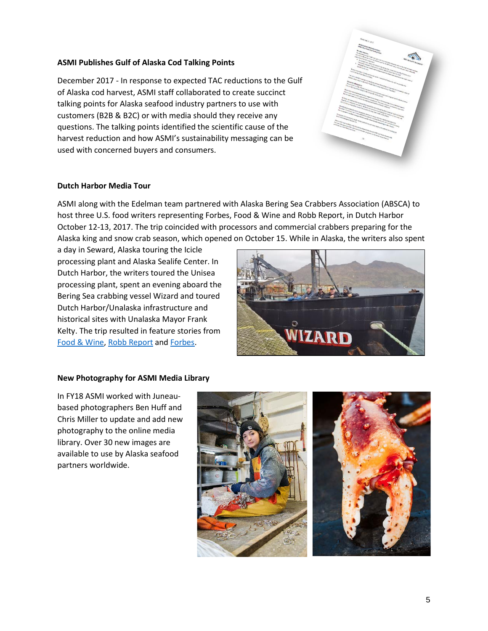### **ASMI Publishes Gulf of Alaska Cod Talking Points**

December 2017 - In response to expected TAC reductions to the Gulf of Alaska cod harvest, ASMI staff collaborated to create succinct talking points for Alaska seafood industry partners to use with customers (B2B & B2C) or with media should they receive any questions. The talking points identified the scientific cause of the harvest reduction and how ASMI's sustainability messaging can be used with concerned buyers and consumers.



#### **Dutch Harbor Media Tour**

ASMI along with the Edelman team partnered with Alaska Bering Sea Crabbers Association (ABSCA) to host three U.S. food writers representing Forbes, Food & Wine and Robb Report, in Dutch Harbor October 12-13, 2017. The trip coincided with processors and commercial crabbers preparing for the Alaska king and snow crab season, which opened on October 15. While in Alaska, the writers also spent

a day in Seward, Alaska touring the Icicle processing plant and Alaska Sealife Center. In Dutch Harbor, the writers toured the Unisea processing plant, spent an evening aboard the Bering Sea crabbing vessel Wizard and toured Dutch Harbor/Unalaska infrastructure and historical sites with Unalaska Mayor Frank Kelty. The trip resulted in feature stories from [Food & Wine,](http://www.foodandwine.com/travel/alaska-fishing-king-crabs) [Robb Report](http://robbreport.com/food-drink/dining/alaskan-king-crab-fisherman-deadliest-catch-eg17-2767500/) and [Forbes.](https://www.forbes.com/forbes/welcome/?toURL=https://www.forbes.com/sites/johnmccarthy12/2018/02/27/crab-fight-aboard-alaskas-quest-to-be-americas-king-of-crab/&refURL=&referrer=#54e2e7d81971)



#### **New Photography for ASMI Media Library**

In FY18 ASMI worked with Juneaubased photographers Ben Huff and Chris Miller to update and add new photography to the online media library. Over 30 new images are available to use by Alaska seafood partners worldwide.

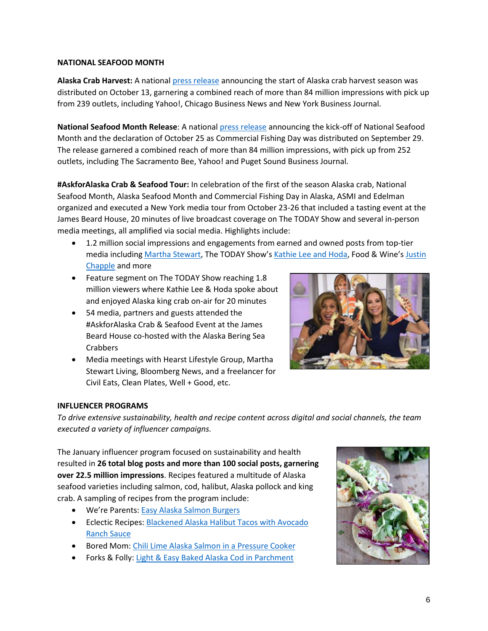## **NATIONAL SEAFOOD MONTH**

**Alaska Crab Harvest:** A nationa[l press release](https://www.prnewswire.com/news-releases/alaska-crab-season-kicks-off-with-harvest-opener-300536251.html) announcing the start of Alaska crab harvest season was distributed on October 13, garnering a combined reach of more than 84 million impressions with pick up from 239 outlets, including Yahoo!, Chicago Business News and New York Business Journal.

**National Seafood Month Release**: A national [press release](https://www.prnewswire.com/news-releases/join-the-alaska-seafood-celebration-national-seafood-month-kicks-off-october-1st-300528118.html) announcing the kick-off of National Seafood Month and the declaration of October 25 as Commercial Fishing Day was distributed on September 29. The release garnered a combined reach of more than 84 million impressions, with pick up from 252 outlets, including The Sacramento Bee, Yahoo! and Puget Sound Business Journal.

**#AskforAlaska Crab & Seafood Tour:** In celebration of the first of the season Alaska crab, National Seafood Month, Alaska Seafood Month and Commercial Fishing Day in Alaska, ASMI and Edelman organized and executed a New York media tour from October 23-26 that included a tasting event at the James Beard House, 20 minutes of live broadcast coverage on The TODAY Show and several in-person media meetings, all amplified via social media. Highlights include:

- 1.2 million social impressions and engagements from earned and owned posts from top-tier media including [Martha Stewart,](https://www.instagram.com/p/Bapad48g88S/?tagged=askforalaska) The TODAY Show's [Kathie Lee and Hoda,](https://www.instagram.com/p/BarLnBxADbt/) Food & Wine's [Justin](https://www.instagram.com/p/BapvrMPnT1B/?taken-by=justinchapple)  [Chapple](https://www.instagram.com/p/BapvrMPnT1B/?taken-by=justinchapple) and more
- Feature segment on The TODAY Show reaching 1.8 million viewers where Kathie Lee & Hoda spoke about and enjoyed Alaska king crab on-air for 20 minutes
- 54 media, partners and guests attended the #AskforAlaska Crab & Seafood Event at the James Beard House co-hosted with the Alaska Bering Sea Crabbers
- Media meetings with Hearst Lifestyle Group, Martha Stewart Living, Bloomberg News, and a freelancer for Civil Eats, Clean Plates, Well + Good, etc.



### **INFLUENCER PROGRAMS**

*To drive extensive sustainability, health and recipe content across digital and social channels, the team executed a variety of influencer campaigns.*

The January influencer program focused on sustainability and health resulted in **26 total blog posts and more than 100 social posts, garnering over 22.5 million impressions**. Recipes featured a multitude of Alaska seafood varieties including salmon, cod, halibut, Alaska pollock and king crab. A sampling of recipes from the program include:

- We're Parents: [Easy Alaska Salmon Burgers](https://wereparents.com/easy-salmon-burgers-recipe/)
- Eclectic Recipes: Blackened Alaska Halibut Tacos with Avocado [Ranch Sauce](https://eclecticrecipes.com/blackened-alaska-halibut-tacos-avocado-ranch-sauce)
- Bored Mom: [Chili Lime Alaska Salmon in a Pressure Cooker](https://www.boredmom.com/food/chili-lime-alaska-salmon-pressure-cooker)
- Forks & Folly: [Light & Easy Baked Alaska Cod in Parchment](http://forksandfolly.com/2018/01/baked-alaska-cod-light-easy/)

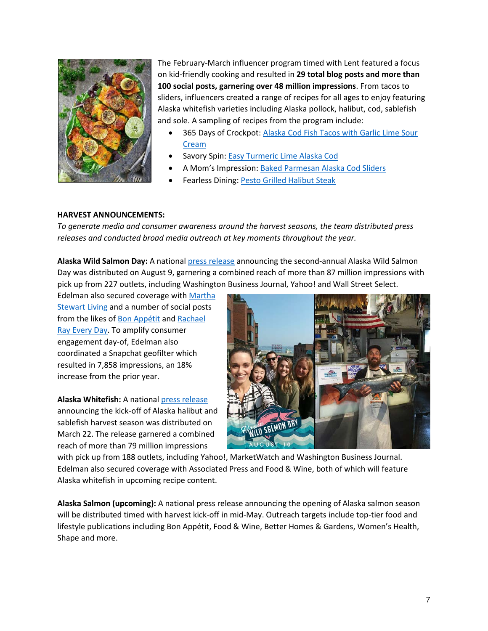

The February-March influencer program timed with Lent featured a focus on kid-friendly cooking and resulted in **29 total blog posts and more than 100 social posts, garnering over 48 million impressions**. From tacos to sliders, influencers created a range of recipes for all ages to enjoy featuring Alaska whitefish varieties including Alaska pollock, halibut, cod, sablefish and sole. A sampling of recipes from the program include:

- 365 Days of Crockpot: [Alaska Cod Fish Tacos with Garlic Lime Sour](https://www.365daysofcrockpot.com/alaska-cod-fish-tacos/)  [Cream](https://www.365daysofcrockpot.com/alaska-cod-fish-tacos/)
- Savory Spin[: Easy Turmeric Lime Alaska Cod](https://savoryspin.com/easy-turmeric-lime-cod/)
- A Mom's Impression[: Baked Parmesan Alaska Cod Sliders](https://amomsimpression.com/baked-parmesan-cod-sliders/)
- Fearless Dining: [Pesto Grilled Halibut Steak](https://www.fearlessdining.com/pesto-grilled-alaska-halibut-steak-recipe/)

## **HARVEST ANNOUNCEMENTS:**

*To generate media and consumer awareness around the harvest seasons, the team distributed press releases and conducted broad media outreach at key moments throughout the year.* 

**Alaska Wild Salmon Day:** A national [press release](https://www.prnewswire.com/news-releases/second-annual-alaska-wild-salmon-day-honors-iconic-state-fish-and-dedicated-commercial-fishermen-300502007.html) announcing the second-annual Alaska Wild Salmon Day was distributed on August 9, garnering a combined reach of more than 87 million impressions with pick up from 227 outlets, including Washington Business Journal, Yahoo! and Wall Street Select.

Edelman also secured coverage with [Martha](https://www.marthastewart.com/1519262/sunrise-fishing-long-days-seine-boats-drifters-fish?utm_source=twitter&utm_medium=social&utm_campaign=msl_1023702581)  [Stewart Living](https://www.marthastewart.com/1519262/sunrise-fishing-long-days-seine-boats-drifters-fish?utm_source=twitter&utm_medium=social&utm_campaign=msl_1023702581) and a number of social posts from the likes o[f Bon Appétit](https://www.instagram.com/p/BXlPQbqhY0u/?taken-by=bonappetitmag) and Rachael [Ray Every Day.](https://www.instagram.com/p/BXnsSs3nenb/?taken-by=rachaelraymag) To amplify consumer engagement day-of, Edelman also coordinated a Snapchat geofilter which resulted in 7,858 impressions, an 18% increase from the prior year.

**Alaska Whitefish:** A national [press release](https://www.prnewswire.com/news-releases/alaska-halibut-and-sablefish-harvest-kicks-off-spring-seafood-season-300617941.html) announcing the kick-off of Alaska halibut and sablefish harvest season was distributed on March 22. The release garnered a combined reach of more than 79 million impressions



with pick up from 188 outlets, including Yahoo!, MarketWatch and Washington Business Journal. Edelman also secured coverage with Associated Press and Food & Wine, both of which will feature Alaska whitefish in upcoming recipe content.

**Alaska Salmon (upcoming):** A national press release announcing the opening of Alaska salmon season will be distributed timed with harvest kick-off in mid-May. Outreach targets include top-tier food and lifestyle publications including Bon Appétit, Food & Wine, Better Homes & Gardens, Women's Health, Shape and more.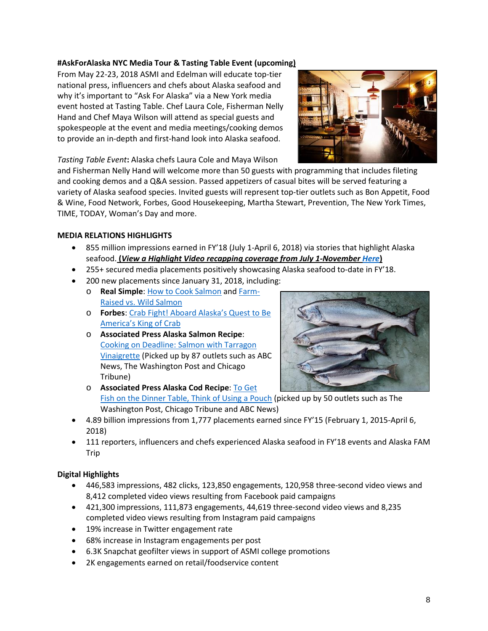## **#AskForAlaska NYC Media Tour & Tasting Table Event (upcoming)**

From May 22-23, 2018 ASMI and Edelman will educate top-tier national press, influencers and chefs about Alaska seafood and why it's important to "Ask For Alaska" via a New York media event hosted at Tasting Table. Chef Laura Cole, Fisherman Nelly Hand and Chef Maya Wilson will attend as special guests and spokespeople at the event and media meetings/cooking demos to provide an in-depth and first-hand look into Alaska seafood.



*Tasting Table Event***:** Alaska chefs Laura Cole and Maya Wilson

and Fisherman Nelly Hand will welcome more than 50 guests with programming that includes fileting and cooking demos and a Q&A session. Passed appetizers of casual bites will be served featuring a variety of Alaska seafood species. Invited guests will represent top-tier outlets such as Bon Appetit, Food & Wine, Food Network, Forbes, Good Housekeeping, Martha Stewart, Prevention, The New York Times, TIME, TODAY, Woman's Day and more.

## **MEDIA RELATIONS HIGHLIGHTS**

- 855 million impressions earned in FY'18 (July 1-April 6, 2018) via stories that highlight Alaska seafood. **(***View a Highlight Video recapping coverage from July 1-November [Here](https://edelmanftp.box.com/s/7s602teey8rrf5slzkwflo7bkn3gj8y4)***)**
- 255+ secured media placements positively showcasing Alaska seafood to-date in FY'18.
- 200 new placements since January 31, 2018, including:
	- o **Real Simple**: [How to Cook Salmon](https://www.realsimple.com/food-recipes/cooking-tips-techniques/how-to-cook-different-types-of-salmon) an[d Farm-](https://www.realsimple.com/food-recipes/shopping-storing/food/farm-raised-wild-salmon)Raised vs. [Wild Salmon](https://www.realsimple.com/food-recipes/shopping-storing/food/farm-raised-wild-salmon)
	- o **Forbes**: [Crab Fight! Aboard Alaska's Quest to Be](https://www.forbes.com/forbes/welcome/?toURL=https://www.forbes.com/sites/johnmccarthy12/2018/02/27/crab-fight-aboard-alaskas-quest-to-be-americas-king-of-crab/&refURL=&referrer=#54e2e7d81971)  [America's King of Crab](https://www.forbes.com/forbes/welcome/?toURL=https://www.forbes.com/sites/johnmccarthy12/2018/02/27/crab-fight-aboard-alaskas-quest-to-be-americas-king-of-crab/&refURL=&referrer=#54e2e7d81971)
	- o **Associated Press Alaska Salmon Recipe**: [Cooking on Deadline: Salmon with Tarragon](https://www.apnews.com/4c68bf5f80de4d3189b7f744d9c65497/COOKING-ON-DEADLINE:-Salmon-with-Tarragon-Vinaigrette)  [Vinaigrette](https://www.apnews.com/4c68bf5f80de4d3189b7f744d9c65497/COOKING-ON-DEADLINE:-Salmon-with-Tarragon-Vinaigrette) (Picked up by 87 outlets such as ABC News, The Washington Post and Chicago Tribune)



- o **Associated Press Alaska Cod Recipe**: [To Get](https://www.apnews.com/357a6a94b57a4b7381f6abbdced8f89f/To-get-fish-on-the-dinner-table,-think-of-using-a-pouch)  [Fish on the Dinner Table, Think of Using a Pouch](https://www.apnews.com/357a6a94b57a4b7381f6abbdced8f89f/To-get-fish-on-the-dinner-table,-think-of-using-a-pouch) (picked up by 50 outlets such as The Washington Post, Chicago Tribune and ABC News)
- 4.89 billion impressions from 1,777 placements earned since FY'15 (February 1, 2015-April 6, 2018)
- 111 reporters, influencers and chefs experienced Alaska seafood in FY'18 events and Alaska FAM Trip

### **Digital Highlights**

- 446,583 impressions, 482 clicks, 123,850 engagements, 120,958 three-second video views and 8,412 completed video views resulting from Facebook paid campaigns
- 421,300 impressions, 111,873 engagements, 44,619 three-second video views and 8,235 completed video views resulting from Instagram paid campaigns
- 19% increase in Twitter engagement rate
- 68% increase in Instagram engagements per post
- 6.3K Snapchat geofilter views in support of ASMI college promotions
- 2K engagements earned on retail/foodservice content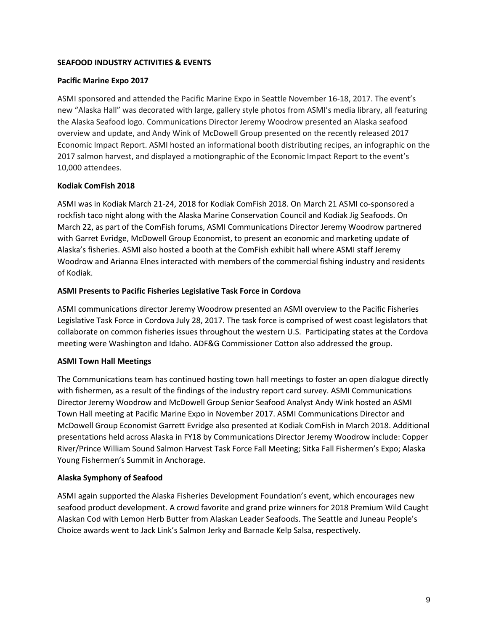## **SEAFOOD INDUSTRY ACTIVITIES & EVENTS**

## **Pacific Marine Expo 2017**

ASMI sponsored and attended the Pacific Marine Expo in Seattle November 16-18, 2017. The event's new "Alaska Hall" was decorated with large, gallery style photos from ASMI's media library, all featuring the Alaska Seafood logo. Communications Director Jeremy Woodrow presented an Alaska seafood overview and update, and Andy Wink of McDowell Group presented on the recently released 2017 Economic Impact Report. ASMI hosted an informational booth distributing recipes, an infographic on the 2017 salmon harvest, and displayed a motiongraphic of the Economic Impact Report to the event's 10,000 attendees.

## **Kodiak ComFish 2018**

ASMI was in Kodiak March 21-24, 2018 for Kodiak ComFish 2018. On March 21 ASMI co-sponsored a rockfish taco night along with the Alaska Marine Conservation Council and Kodiak Jig Seafoods. On March 22, as part of the ComFish forums, ASMI Communications Director Jeremy Woodrow partnered with Garret Evridge, McDowell Group Economist, to present an economic and marketing update of Alaska's fisheries. ASMI also hosted a booth at the ComFish exhibit hall where ASMI staff Jeremy Woodrow and Arianna Elnes interacted with members of the commercial fishing industry and residents of Kodiak.

## **ASMI Presents to Pacific Fisheries Legislative Task Force in Cordova**

ASMI communications director Jeremy Woodrow presented an ASMI overview to the Pacific Fisheries Legislative Task Force in Cordova July 28, 2017. The task force is comprised of west coast legislators that collaborate on common fisheries issues throughout the western U.S. Participating states at the Cordova meeting were Washington and Idaho. ADF&G Commissioner Cotton also addressed the group.

## **ASMI Town Hall Meetings**

The Communications team has continued hosting town hall meetings to foster an open dialogue directly with fishermen, as a result of the findings of the industry report card survey. ASMI Communications Director Jeremy Woodrow and McDowell Group Senior Seafood Analyst Andy Wink hosted an ASMI Town Hall meeting at Pacific Marine Expo in November 2017. ASMI Communications Director and McDowell Group Economist Garrett Evridge also presented at Kodiak ComFish in March 2018. Additional presentations held across Alaska in FY18 by Communications Director Jeremy Woodrow include: Copper River/Prince William Sound Salmon Harvest Task Force Fall Meeting; Sitka Fall Fishermen's Expo; Alaska Young Fishermen's Summit in Anchorage.

### **Alaska Symphony of Seafood**

ASMI again supported the Alaska Fisheries Development Foundation's event, which encourages new seafood product development. A crowd favorite and grand prize winners for 2018 Premium Wild Caught Alaskan Cod with Lemon Herb Butter from Alaskan Leader Seafoods. The Seattle and Juneau People's Choice awards went to Jack Link's Salmon Jerky and Barnacle Kelp Salsa, respectively.